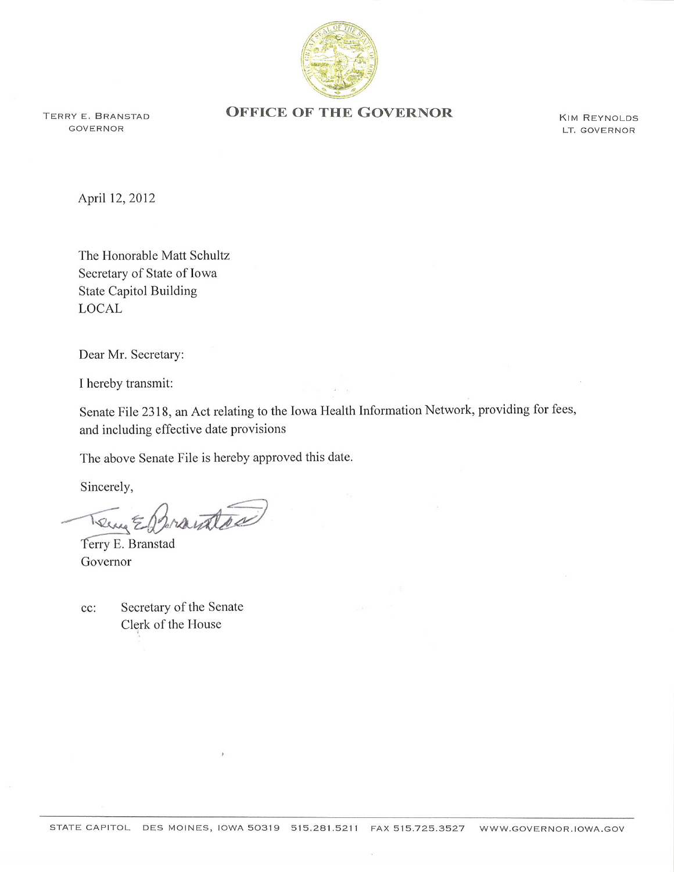

GOVERNOR

## TERRY E. BRANSTAD **OFFICE OF THE GOVERNOR**

KIM REYNoLDS LT. GOVERNOR

April 12, 2012

The Honorable Matt Schultz Secretary of State of Iowa **State Capitol Building** LOCAL

Dear Mr. Secretary:

I hereby transmit:

Senate File 2318, an Act relating to the Iowa Health Information Network, providing for fees, and including effective date provisions

The above Senate File is hereby approved this date.

Sincerely,

Brantsa Terry E

Terry E. Branstad Governor

Secretary of the Senate  $cc$ : Clerk of the House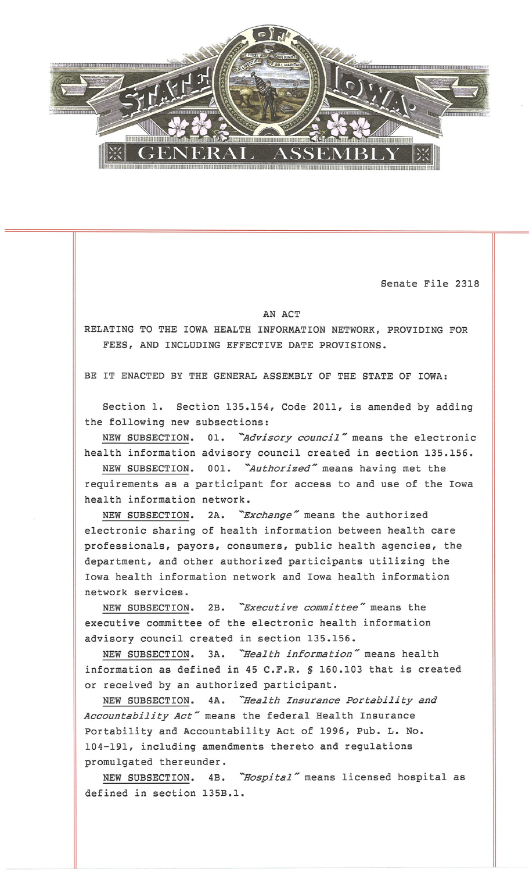

Senate File 2318

## AN ACT

RELATING TO THE IOWA HEALTH INFORMATION NETWORK, PROVIDING FOR FEES, AND INCLUDING EFFECTIVE DATE PROVISIONS.

BE IT ENACTED BY THE GENERAL ASSEMBLY OF THE STATE OF IOWA:

Section 1. Section 135.154, Code 2011, is amended by adding the following new subsections:

NEW SUBSECTION. 01. "Advisory council" means the electronic health information advisory council created in section 135.156.

NEW SUBSECTION. 001. "Authorized" means having met the requirements as a participant for access to and use of the Iowa health information network.

NEW SUBSECTION. 2A. "Exchange" means the authorized electronic sharing of health information between health care professionals, payors, consumers, public health agencies, the department, and other authorized participants utilizing the Iowa health information network and Iowa health information network services.

NEW SUBSECTION. 2B. "Executive committee" means the executive committee of the electronic health information advisory council created in section 135.156.

NEW SUBSECTION. 3A. "Health information" means health information as defined in 45 C.F.R. § 160.103 that is created or received by an authorized participant.

NEW SUBSECTION. 4A. "Health Insurance Portability and Accountability Act" means the federal Health Insurance Portability and Accountability Act of 1996, Pub. L. No. 104-191, including amendments thereto and regulations promulgated thereunder.

NEW SUBSECTION. 4B. "Hospital" means licensed hospital as defined in section 135B.1.